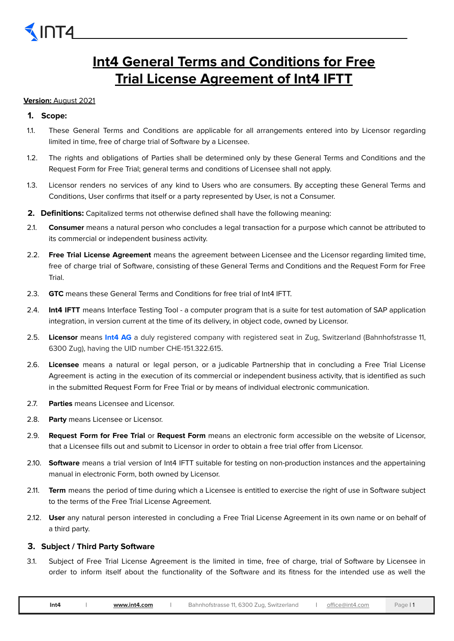# **Int4 General Terms and Conditions for Free Trial License Agreement of Int4 IFTT**

# **Version:** August 2021

# **1. Scope:**

- 1.1. These General Terms and Conditions are applicable for all arrangements entered into by Licensor regarding limited in time, free of charge trial of Software by a Licensee.
- 1.2. The rights and obligations of Parties shall be determined only by these General Terms and Conditions and the Request Form for Free Trial; general terms and conditions of Licensee shall not apply.
- 1.3. Licensor renders no services of any kind to Users who are consumers. By accepting these General Terms and Conditions, User confirms that itself or a party represented by User, is not a Consumer.
- **2. Definitions:** Capitalized terms not otherwise defined shall have the following meaning:
- 2.1. **Consumer** means a natural person who concludes a legal transaction for a purpose which cannot be attributed to its commercial or independent business activity.
- 2.2. **Free Trial License Agreement** means the agreement between Licensee and the Licensor regarding limited time, free of charge trial of Software, consisting of these General Terms and Conditions and the Request Form for Free Trial.
- 2.3. **GTC** means these General Terms and Conditions for free trial of Int4 IFTT.
- 2.4. **Int4 IFTT** means Interface Testing Tool a computer program that is a suite for test automation of SAP application integration, in version current at the time of its delivery, in object code, owned by Licensor.
- 2.5. **Licensor** means **Int4 AG** a duly registered company with registered seat in Zug, Switzerland (Bahnhofstrasse 11, 6300 Zug), having the UID number CHE-151.322.615.
- 2.6. **Licensee** means a natural or legal person, or a judicable Partnership that in concluding a Free Trial License Agreement is acting in the execution of its commercial or independent business activity, that is identified as such in the submitted Request Form for Free Trial or by means of individual electronic communication.
- 2.7. **Parties** means Licensee and Licensor.
- 2.8. **Party** means Licensee or Licensor.
- 2.9. **Request Form for Free Trial** or **Request Form** means an electronic form accessible on the website of Licensor, that a Licensee fills out and submit to Licensor in order to obtain a free trial offer from Licensor.
- 2.10. **Software** means a trial version of Int4 IFTT suitable for testing on non-production instances and the appertaining manual in electronic Form, both owned by Licensor.
- 2.11. **Term** means the period of time during which a Licensee is entitled to exercise the right of use in Software subject to the terms of the Free Trial License Agreement.
- 2.12. **User** any natural person interested in concluding a Free Trial License Agreement in its own name or on behalf of a third party.

# **3. Subject / Third Party Software**

3.1. Subject of Free Trial License Agreement is the limited in time, free of charge, trial of Software by Licensee in order to inform itself about the functionality of the Software and its fitness for the intended use as well the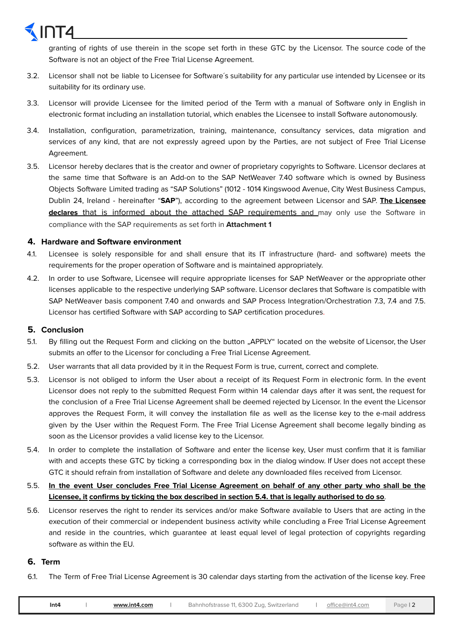granting of rights of use therein in the scope set forth in these GTC by the Licensor. The source code of the Software is not an object of the Free Trial License Agreement.

- 3.2. Licensor shall not be liable to Licensee for Software´s suitability for any particular use intended by Licensee or its suitability for its ordinary use.
- 3.3. Licensor will provide Licensee for the limited period of the Term with a manual of Software only in English in electronic format including an installation tutorial, which enables the Licensee to install Software autonomously.
- 3.4. Installation, configuration, parametrization, training, maintenance, consultancy services, data migration and services of any kind, that are not expressly agreed upon by the Parties, are not subject of Free Trial License Agreement.
- 3.5. Licensor hereby declares that is the creator and owner of proprietary copyrights to Software. Licensor declares at the same time that Software is an Add-on to the SAP NetWeaver 7.40 software which is owned by Business Objects Software Limited trading as "SAP Solutions" (1012 - 1014 Kingswood Avenue, City West Business Campus, Dublin 24, Ireland - hereinafter "**SAP**"), according to the agreement between Licensor and SAP. **The Licensee declares** that is informed about the attached SAP requirements and may only use the Software in compliance with the SAP requirements as set forth in **Attachment 1**

#### **4. Hardware and Software environment**

- 4.1. Licensee is solely responsible for and shall ensure that its IT infrastructure (hard- and software) meets the requirements for the proper operation of Software and is maintained appropriately.
- 4.2. In order to use Software, Licensee will require appropriate licenses for SAP NetWeaver or the appropriate other licenses applicable to the respective underlying SAP software. Licensor declares that Software is compatible with SAP NetWeaver basis component 7.40 and onwards and SAP Process Integration/Orchestration 7.3, 7.4 and 7.5. Licensor has certified Software with SAP according to SAP certification procedures.

### **5. Conclusion**

- 5.1. By filling out the Request Form and clicking on the button "APPLY" located on the website of Licensor, the User submits an offer to the Licensor for concluding a Free Trial License Agreement.
- 5.2. User warrants that all data provided by it in the Request Form is true, current, correct and complete.
- 5.3. Licensor is not obliged to inform the User about a receipt of its Request Form in electronic form. In the event Licensor does not reply to the submitted Request Form within 14 calendar days after it was sent, the request for the conclusion of a Free Trial License Agreement shall be deemed rejected by Licensor. In the event the Licensor approves the Request Form, it will convey the installation file as well as the license key to the e-mail address given by the User within the Request Form. The Free Trial License Agreement shall become legally binding as soon as the Licensor provides a valid license key to the Licensor.
- 5.4. In order to complete the installation of Software and enter the license key, User must confirm that it is familiar with and accepts these GTC by ticking a corresponding box in the dialog window. If User does not accept these GTC it should refrain from installation of Software and delete any downloaded files received from Licensor.
- 5.5. In the event User concludes Free Trial License Agreement on behalf of any other party who shall be the Licensee, it confirms by ticking the box described in section 5.4. that is legally authorised to do so.
- 5.6. Licensor reserves the right to render its services and/or make Software available to Users that are acting in the execution of their commercial or independent business activity while concluding a Free Trial License Agreement and reside in the countries, which guarantee at least equal level of legal protection of copyrights regarding software as within the EU.

#### **6. Term**

6.1. The Term of Free Trial License Agreement is 30 calendar days starting from the activation of the license key. Free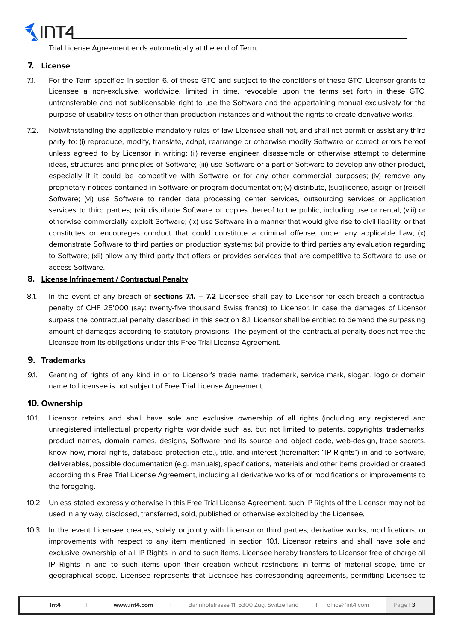

Trial License Agreement ends automatically at the end of Term.

### **7. License**

- 7.1. For the Term specified in section 6. of these GTC and subject to the conditions of these GTC, Licensor grants to Licensee a non-exclusive, worldwide, limited in time, revocable upon the terms set forth in these GTC, untransferable and not sublicensable right to use the Software and the appertaining manual exclusively for the purpose of usability tests on other than production instances and without the rights to create derivative works.
- 7.2. Notwithstanding the applicable mandatory rules of law Licensee shall not, and shall not permit or assist any third party to: (i) reproduce, modify, translate, adapt, rearrange or otherwise modify Software or correct errors hereof unless agreed to by Licensor in writing; (ii) reverse engineer, disassemble or otherwise attempt to determine ideas, structures and principles of Software; (iii) use Software or a part of Software to develop any other product, especially if it could be competitive with Software or for any other commercial purposes; (iv) remove any proprietary notices contained in Software or program documentation; (v) distribute, (sub)license, assign or (re)sell Software; (vi) use Software to render data processing center services, outsourcing services or application services to third parties; (vii) distribute Software or copies thereof to the public, including use or rental; (viii) or otherwise commercially exploit Software; (ix) use Software in a manner that would give rise to civil liability, or that constitutes or encourages conduct that could constitute a criminal offense, under any applicable Law; (x) demonstrate Software to third parties on production systems; (xi) provide to third parties any evaluation regarding to Software; (xii) allow any third party that offers or provides services that are competitive to Software to use or access Software.

#### **8. License Infringement / Contractual Penalty**

8.1. In the event of any breach of **sections 7.1. – 7.2** Licensee shall pay to Licensor for each breach a contractual penalty of CHF 25'000 (say: twenty-five thousand Swiss francs) to Licensor. In case the damages of Licensor surpass the contractual penalty described in this section 8.1, Licensor shall be entitled to demand the surpassing amount of damages according to statutory provisions. The payment of the contractual penalty does not free the Licensee from its obligations under this Free Trial License Agreement.

#### **9. Trademarks**

9.1. Granting of rights of any kind in or to Licensor's trade name, trademark, service mark, slogan, logo or domain name to Licensee is not subject of Free Trial License Agreement.

#### **10. Ownership**

- 10.1. Licensor retains and shall have sole and exclusive ownership of all rights (including any registered and unregistered intellectual property rights worldwide such as, but not limited to patents, copyrights, trademarks, product names, domain names, designs, Software and its source and object code, web-design, trade secrets, know how, moral rights, database protection etc.), title, and interest (hereinafter: "IP Rights") in and to Software, deliverables, possible documentation (e.g. manuals), specifications, materials and other items provided or created according this Free Trial License Agreement, including all derivative works of or modifications or improvements to the foregoing.
- 10.2. Unless stated expressly otherwise in this Free Trial License Agreement, such IP Rights of the Licensor may not be used in any way, disclosed, transferred, sold, published or otherwise exploited by the Licensee.
- 10.3. In the event Licensee creates, solely or jointly with Licensor or third parties, derivative works, modifications, or improvements with respect to any item mentioned in section 10.1, Licensor retains and shall have sole and exclusive ownership of all IP Rights in and to such items. Licensee hereby transfers to Licensor free of charge all IP Rights in and to such items upon their creation without restrictions in terms of material scope, time or geographical scope. Licensee represents that Licensee has corresponding agreements, permitting Licensee to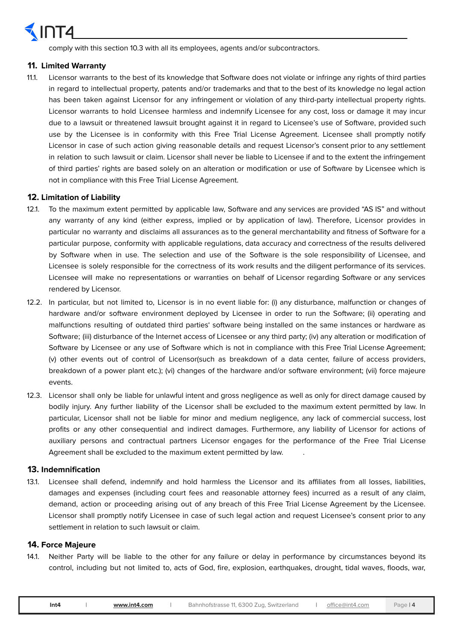

comply with this section 10.3 with all its employees, agents and/or subcontractors.

#### **11. Limited Warranty**

11.1. Licensor warrants to the best of its knowledge that Software does not violate or infringe any rights of third parties in regard to intellectual property, patents and/or trademarks and that to the best of its knowledge no legal action has been taken against Licensor for any infringement or violation of any third-party intellectual property rights. Licensor warrants to hold Licensee harmless and indemnify Licensee for any cost, loss or damage it may incur due to a lawsuit or threatened lawsuit brought against it in regard to Licensee's use of Software, provided such use by the Licensee is in conformity with this Free Trial License Agreement. Licensee shall promptly notify Licensor in case of such action giving reasonable details and request Licensor's consent prior to any settlement in relation to such lawsuit or claim. Licensor shall never be liable to Licensee if and to the extent the infringement of third parties' rights are based solely on an alteration or modification or use of Software by Licensee which is not in compliance with this Free Trial License Agreement.

#### **12. Limitation of Liability**

- 12.1. To the maximum extent permitted by applicable law, Software and any services are provided "AS IS" and without any warranty of any kind (either express, implied or by application of law). Therefore, Licensor provides in particular no warranty and disclaims all assurances as to the general merchantability and fitness of Software for a particular purpose, conformity with applicable regulations, data accuracy and correctness of the results delivered by Software when in use. The selection and use of the Software is the sole responsibility of Licensee, and Licensee is solely responsible for the correctness of its work results and the diligent performance of its services. Licensee will make no representations or warranties on behalf of Licensor regarding Software or any services rendered by Licensor.
- 12.2. In particular, but not limited to, Licensor is in no event liable for: (i) any disturbance, malfunction or changes of hardware and/or software environment deployed by Licensee in order to run the Software; (ii) operating and malfunctions resulting of outdated third parties' software being installed on the same instances or hardware as Software; (iii) disturbance of the Internet access of Licensee or any third party; (iv) any alteration or modification of Software by Licensee or any use of Software which is not in compliance with this Free Trial License Agreement; (v) other events out of control of Licensor(such as breakdown of a data center, failure of access providers, breakdown of a power plant etc.); (vi) changes of the hardware and/or software environment; (vii) force majeure events.
- 12.3. Licensor shall only be liable for unlawful intent and gross negligence as well as only for direct damage caused by bodily injury. Any further liability of the Licensor shall be excluded to the maximum extent permitted by law. In particular, Licensor shall not be liable for minor and medium negligence, any lack of commercial success, lost profits or any other consequential and indirect damages. Furthermore, any liability of Licensor for actions of auxiliary persons and contractual partners Licensor engages for the performance of the Free Trial License Agreement shall be excluded to the maximum extent permitted by law.

### **13. Indemnification**

13.1. Licensee shall defend, indemnify and hold harmless the Licensor and its affiliates from all losses, liabilities, damages and expenses (including court fees and reasonable attorney fees) incurred as a result of any claim, demand, action or proceeding arising out of any breach of this Free Trial License Agreement by the Licensee. Licensor shall promptly notify Licensee in case of such legal action and request Licensee's consent prior to any settlement in relation to such lawsuit or claim.

#### **14. Force Majeure**

14.1. Neither Party will be liable to the other for any failure or delay in performance by circumstances beyond its control, including but not limited to, acts of God, fire, explosion, earthquakes, drought, tidal waves, floods, war,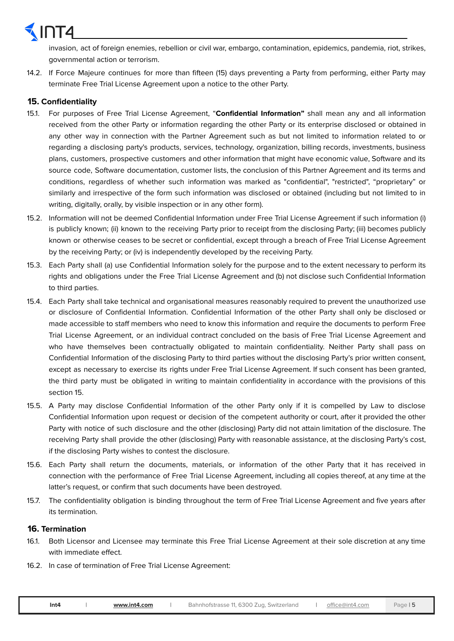invasion, act of foreign enemies, rebellion or civil war, embargo, contamination, epidemics, pandemia, riot, strikes, governmental action or terrorism.

14.2. If Force Majeure continues for more than fifteen (15) days preventing a Party from performing, either Party may terminate Free Trial License Agreement upon a notice to the other Party.

### **15. Confidentiality**

- 15.1. For purposes of Free Trial License Agreement, "**Confidential Information"** shall mean any and all information received from the other Party or information regarding the other Party or its enterprise disclosed or obtained in any other way in connection with the Partner Agreement such as but not limited to information related to or regarding a disclosing party's products, services, technology, organization, billing records, investments, business plans, customers, prospective customers and other information that might have economic value, Software and its source code, Software documentation, customer lists, the conclusion of this Partner Agreement and its terms and conditions, regardless of whether such information was marked as "confidential", "restricted", "proprietary" or similarly and irrespective of the form such information was disclosed or obtained (including but not limited to in writing, digitally, orally, by visible inspection or in any other form).
- 15.2. Information will not be deemed Confidential Information under Free Trial License Agreement if such information (i) is publicly known; (ii) known to the receiving Party prior to receipt from the disclosing Party; (iii) becomes publicly known or otherwise ceases to be secret or confidential, except through a breach of Free Trial License Agreement by the receiving Party; or (iv) is independently developed by the receiving Party.
- 15.3. Each Party shall (a) use Confidential Information solely for the purpose and to the extent necessary to perform its rights and obligations under the Free Trial License Agreement and (b) not disclose such Confidential Information to third parties.
- 15.4. Each Party shall take technical and organisational measures reasonably required to prevent the unauthorized use or disclosure of Confidential Information. Confidential Information of the other Party shall only be disclosed or made accessible to staff members who need to know this information and require the documents to perform Free Trial License Agreement, or an individual contract concluded on the basis of Free Trial License Agreement and who have themselves been contractually obligated to maintain confidentiality. Neither Party shall pass on Confidential Information of the disclosing Party to third parties without the disclosing Party's prior written consent, except as necessary to exercise its rights under Free Trial License Agreement. If such consent has been granted, the third party must be obligated in writing to maintain confidentiality in accordance with the provisions of this section 15.
- 15.5. A Party may disclose Confidential Information of the other Party only if it is compelled by Law to disclose Confidential Information upon request or decision of the competent authority or court, after it provided the other Party with notice of such disclosure and the other (disclosing) Party did not attain limitation of the disclosure. The receiving Party shall provide the other (disclosing) Party with reasonable assistance, at the disclosing Party's cost, if the disclosing Party wishes to contest the disclosure.
- 15.6. Each Party shall return the documents, materials, or information of the other Party that it has received in connection with the performance of Free Trial License Agreement, including all copies thereof, at any time at the latter's request, or confirm that such documents have been destroyed.
- 15.7. The confidentiality obligation is binding throughout the term of Free Trial License Agreement and five years after its termination.

### **16. Termination**

- 16.1. Both Licensor and Licensee may terminate this Free Trial License Agreement at their sole discretion at any time with immediate effect.
- 16.2. In case of termination of Free Trial License Agreement: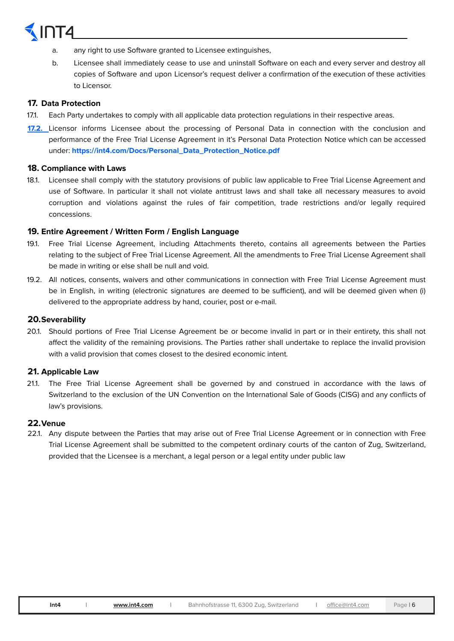- a. any right to use Software granted to Licensee extinguishes,
- b. Licensee shall immediately cease to use and uninstall Software on each and every server and destroy all copies of Software and upon Licensor's request deliver a confirmation of the execution of these activities to Licensor.

#### **17. Data Protection**

- 17.1. Each Party undertakes to comply with all applicable data protection regulations in their respective areas.
- **17.2.** Licensor informs Licensee about the processing of Personal Data in connection with the conclusion and performance of the Free Trial License Agreement in it's Personal Data Protection Notice which can be accessed under: **https://int4.com/Docs/Personal\_Data\_Protection\_Notice.pdf**

#### **18. Compliance with Laws**

18.1. Licensee shall comply with the statutory provisions of public law applicable to Free Trial License Agreement and use of Software. In particular it shall not violate antitrust laws and shall take all necessary measures to avoid corruption and violations against the rules of fair competition, trade restrictions and/or legally required concessions.

#### **19. Entire Agreement / Written Form / English Language**

- 19.1. Free Trial License Agreement, including Attachments thereto, contains all agreements between the Parties relating to the subject of Free Trial License Agreement. All the amendments to Free Trial License Agreement shall be made in writing or else shall be null and void.
- 19.2. All notices, consents, waivers and other communications in connection with Free Trial License Agreement must be in English, in writing (electronic signatures are deemed to be sufficient), and will be deemed given when (i) delivered to the appropriate address by hand, courier, post or e-mail.

#### **20.Severability**

20.1. Should portions of Free Trial License Agreement be or become invalid in part or in their entirety, this shall not affect the validity of the remaining provisions. The Parties rather shall undertake to replace the invalid provision with a valid provision that comes closest to the desired economic intent.

### **21. Applicable Law**

21.1. The Free Trial License Agreement shall be governed by and construed in accordance with the laws of Switzerland to the exclusion of the UN Convention on the International Sale of Goods (CISG) and any conflicts of law's provisions.

### **22.Venue**

22.1. Any dispute between the Parties that may arise out of Free Trial License Agreement or in connection with Free Trial License Agreement shall be submitted to the competent ordinary courts of the canton of Zug, Switzerland, provided that the Licensee is a merchant, a legal person or a legal entity under public law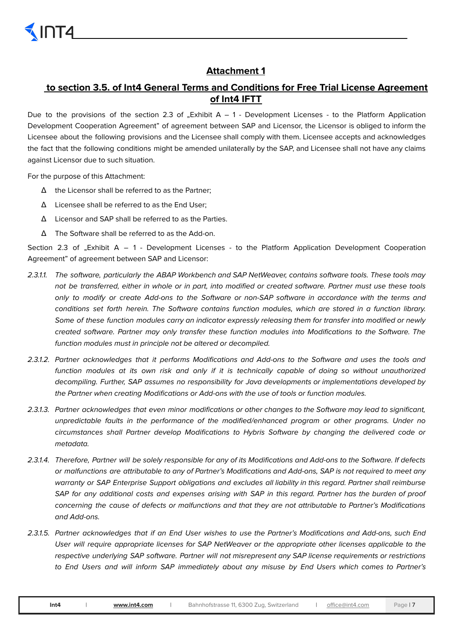# **Attachment 1**

# **to section 3.5. of Int4 General Terms and Conditions for Free Trial License Agreement of Int4 IFTT**

Due to the provisions of the section 2.3 of . Exhibit  $A - 1$  - Development Licenses - to the Platform Application Development Cooperation Agreement" of agreement between SAP and Licensor, the Licensor is obliged to inform the Licensee about the following provisions and the Licensee shall comply with them. Licensee accepts and acknowledges the fact that the following conditions might be amended unilaterally by the SAP, and Licensee shall not have any claims against Licensor due to such situation.

For the purpose of this Attachment:

- Δ the Licensor shall be referred to as the Partner;
- Δ Licensee shall be referred to as the End User;
- Δ Licensor and SAP shall be referred to as the Parties.
- Δ The Software shall be referred to as the Add-on.

Section 2.3 of "Exhibit  $A - 1$  - Development Licenses - to the Platform Application Development Cooperation Agreement" of agreement between SAP and Licensor:

- 2.3.1.1. The software, particularly the ABAP Workbench and SAP NetWeaver, contains software tools. These tools may not be transferred, either in whole or in part, into modified or created software. Partner must use these tools only to modify or create Add-ons to the Software or non-SAP software in accordance with the terms and conditions set forth herein. The Software contains function modules, which are stored in a function library. Some of these function modules carry an indicator expressly releasing them for transfer into modified or newly created software. Partner may only transfer these function modules into Modifications to the Software. The function modules must in principle not be altered or decompiled.
- 2.3.1.2. Partner acknowledges that it performs Modifications and Add-ons to the Software and uses the tools and function modules at its own risk and only if it is technically capable of doing so without unauthorized decompiling. Further, SAP assumes no responsibility for Java developments or implementations developed by the Partner when creating Modifications or Add-ons with the use of tools or function modules.
- 2.3.1.3. Partner acknowledges that even minor modifications or other changes to the Software may lead to significant, unpredictable faults in the performance of the modified/enhanced program or other programs. Under no circumstances shall Partner develop Modifications to Hybris Software by changing the delivered code or metadata.
- 2.3.1.4. Therefore, Partner will be solely responsible for any of its Modifications and Add-ons to the Software. If defects or malfunctions are attributable to any of Partner's Modifications and Add-ons, SAP is not required to meet any warranty or SAP Enterprise Support obligations and excludes all liability in this regard. Partner shall reimburse SAP for any additional costs and expenses arising with SAP in this regard. Partner has the burden of proof concerning the cause of defects or malfunctions and that they are not attributable to Partner's Modifications and Add-ons.
- 2.3.1.5. Partner acknowledges that if an End User wishes to use the Partner's Modifications and Add-ons, such End User will require appropriate licenses for SAP NetWeaver or the appropriate other licenses applicable to the respective underlying SAP software. Partner will not misrepresent any SAP license requirements or restrictions to End Users and will inform SAP immediately about any misuse by End Users which comes to Partner's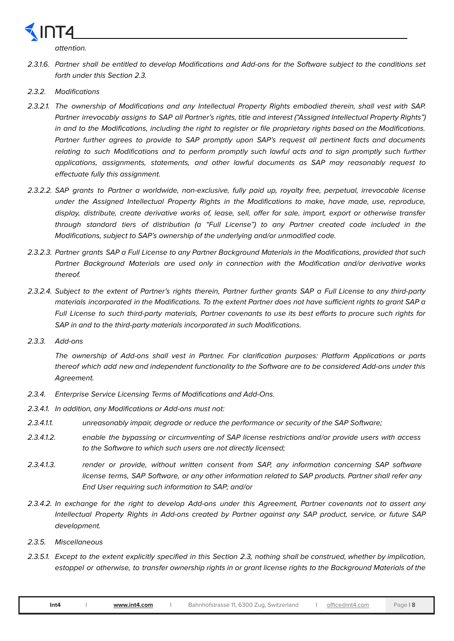

attention.

- 2.3.1.6. Partner shall be entitled to develop Modifications and Add-ons for the Software subject to the conditions set forth under this Section 2.3.
- 2.3.2. Modifications
- 2.3.2.1. The ownership of Modifications and any Intellectual Property Rights embodied therein, shall vest with SAP. Partner irrevocably assigns to SAP all Partner's rights, title and interest ("Assigned Intellectual Property Rights") in and to the Modifications, including the right to register or file proprietary rights based on the Modifications. Partner further agrees to provide to SAP promptly upon SAP's request all pertinent facts and documents relating to such Modifications and to perform promptly such lawful acts and to sign promptly such further applications, assignments, statements, and other lawful documents as SAP may reasonably request to effectuate fully this assignment.
- 2.3.2.2. SAP grants to Partner a worldwide, non-exclusive, fully paid up, royalty free, perpetual, irrevocable license under the Assigned Intellectual Property Rights in the Modifications to make, have made, use, reproduce, display, distribute, create derivative works of, lease, sell, offer for sale, import, export or otherwise transfer through standard tiers of distribution (a "Full License") to any Partner created code included in the Modifications, subject to SAP's ownership of the underlying and/or unmodified code.
- 2.3.2.3. Partner grants SAP a Full License to any Partner Background Materials in the Modifications, provided that such Partner Background Materials are used only in connection with the Modification and/or derivative works thereof.
- 2.3.2.4. Subject to the extent of Partner's rights therein, Partner further grants SAP a Full License to any third-party materials incorporated in the Modifications. To the extent Partner does not have sufficient rights to grant SAP a Full License to such third-party materials, Partner covenants to use its best efforts to procure such rights for SAP in and to the third-party materials incorporated in such Modifications.
- 2.3.3. Add-ons

The ownership of Add-ons shall vest in Partner. For clarification purposes: Platform Applications or parts thereof which add new and independent functionality to the Software are to be considered Add-ons under this Agreement.

- 2.3.4. Enterprise Service Licensing Terms of Modifications and Add-Ons.
- 2.3.4.1. In addition, any Modifications or Add-ons must not:
- 2.3.4.1. unreasonably impair, degrade or reduce the performance or security of the SAP Software;
- 2.3.4.1.2. enable the bypassing or circumventing of SAP license restrictions and/or provide users with access to the Software to which such users are not directly licensed;
- 2.3.4.1.3. render or provide, without written consent from SAP, any information concerning SAP software license terms, SAP Software, or any other information related to SAP products. Partner shall refer any End User requiring such information to SAP; and/or
- 2.3.4.2. In exchange for the right to develop Add-ons under this Agreement, Partner covenants not to assert any Intellectual Property Rights in Add-ons created by Partner against any SAP product, service, or future SAP development.
- 2.3.5. Miscellaneous
- 2.3.5.1. Except to the extent explicitly specified in this Section 2.3, nothing shall be construed, whether by implication, estoppel or otherwise, to transfer ownership rights in or grant license rights to the Background Materials of the